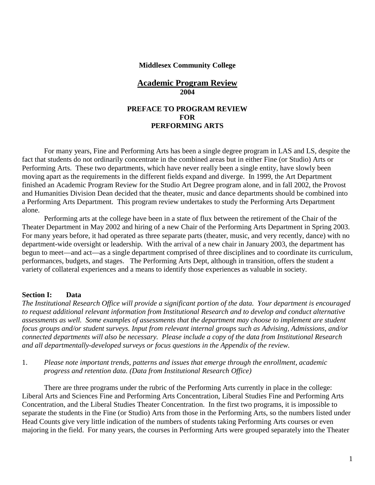#### **Middlesex Community College**

#### **Academic Program Review 2004**

#### **PREFACE TO PROGRAM REVIEW FOR PERFORMING ARTS**

For many years, Fine and Performing Arts has been a single degree program in LAS and LS, despite the fact that students do not ordinarily concentrate in the combined areas but in either Fine (or Studio) Arts or Performing Arts. These two departments, which have never really been a single entity, have slowly been moving apart as the requirements in the different fields expand and diverge. In 1999, the Art Department finished an Academic Program Review for the Studio Art Degree program alone, and in fall 2002, the Provost and Humanities Division Dean decided that the theater, music and dance departments should be combined into a Performing Arts Department. This program review undertakes to study the Performing Arts Department alone.

Performing arts at the college have been in a state of flux between the retirement of the Chair of the Theater Department in May 2002 and hiring of a new Chair of the Performing Arts Department in Spring 2003. For many years before, it had operated as three separate parts (theater, music, and very recently, dance) with no department-wide oversight or leadership. With the arrival of a new chair in January 2003, the department has begun to meet—and act—as a single department comprised of three disciplines and to coordinate its curriculum, performances, budgets, and stages. The Performing Arts Dept, although in transition, offers the student a variety of collateral experiences and a means to identify those experiences as valuable in society.

#### **Section I: Data**

*The Institutional Research Office will provide a significant portion of the data. Your department is encouraged to request additional relevant information from Institutional Research and to develop and conduct alternative assessments as well. Some examples of assessments that the department may choose to implement are student focus groups and/or student surveys. Input from relevant internal groups such as Advising, Admissions, and/or connected departments will also be necessary. Please include a copy of the data from Institutional Research and all departmentally-developed surveys or focus questions in the Appendix of the review.*

1. *Please note important trends, patterns and issues that emerge through the enrollment, academic progress and retention data. (Data from Institutional Research Office)*

There are three programs under the rubric of the Performing Arts currently in place in the college: Liberal Arts and Sciences Fine and Performing Arts Concentration, Liberal Studies Fine and Performing Arts Concentration, and the Liberal Studies Theater Concentration. In the first two programs, it is impossible to separate the students in the Fine (or Studio) Arts from those in the Performing Arts, so the numbers listed under Head Counts give very little indication of the numbers of students taking Performing Arts courses or even majoring in the field. For many years, the courses in Performing Arts were grouped separately into the Theater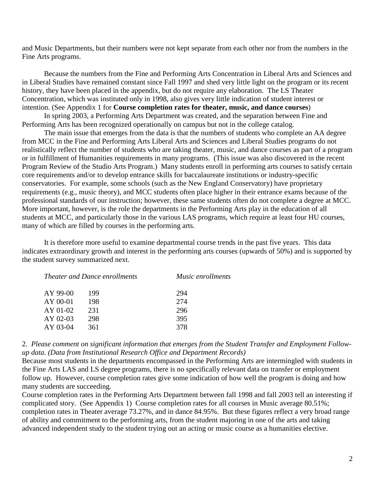and Music Departments, but their numbers were not kept separate from each other nor from the numbers in the Fine Arts programs.

Because the numbers from the Fine and Performing Arts Concentration in Liberal Arts and Sciences and in Liberal Studies have remained constant since Fall 1997 and shed very little light on the program or its recent history, they have been placed in the appendix, but do not require any elaboration. The LS Theater Concentration, which was instituted only in 1998, also gives very little indication of student interest or intention. (See Appendix 1 for **Course completion rates for theater, music, and dance courses**)

In spring 2003, a Performing Arts Department was created, and the separation between Fine and Performing Arts has been recognized operationally on campus but not in the college catalog.

The main issue that emerges from the data is that the numbers of students who complete an AA degree from MCC in the Fine and Performing Arts Liberal Arts and Sciences and Liberal Studies programs do not realistically reflect the number of students who are taking theater, music, and dance courses as part of a program or in fulfillment of Humanities requirements in many programs. (This issue was also discovered in the recent Program Review of the Studio Arts Program.) Many students enroll in performing arts courses to satisfy certain core requirements and/or to develop entrance skills for baccalaureate institutions or industry-specific conservatories. For example, some schools (such as the New England Conservatory) have proprietary requirements (e.g., music theory), and MCC students often place higher in their entrance exams because of the professional standards of our instruction; however, these same students often do not complete a degree at MCC. More important, however, is the role the departments in the Performing Arts play in the education of all students at MCC, and particularly those in the various LAS programs, which require at least four HU courses, many of which are filled by courses in the performing arts.

It is therefore more useful to examine departmental course trends in the past five years. This data indicates extraordinary growth and interest in the performing arts courses (upwards of 50%) and is supported by the student survey summarized next.

| <i>Theater and Dance enrollments</i> |     | <i>Music enrollments</i> |
|--------------------------------------|-----|--------------------------|
| AY 99-00                             | 199 | 294                      |
| $AY$ 00-01                           | 198 | 274                      |
| AY 01-02                             | 231 | 296                      |
| AY 02-03                             | 298 | 395                      |
| AY 03-04                             | 361 | 378                      |
|                                      |     |                          |

2. *Please comment on significant information that emerges from the Student Transfer and Employment Followup data. (Data from Institutional Research Office and Department Records)*

Because most students in the departments encompassed in the Performing Arts are intermingled with students in the Fine Arts LAS and LS degree programs, there is no specifically relevant data on transfer or employment follow up. However, course completion rates give some indication of how well the program is doing and how many students are succeeding.

Course completion rates in the Performing Arts Department between fall 1998 and fall 2003 tell an interesting if complicated story. (See Appendix 1) Course completion rates for all courses in Music average 80.51%; completion rates in Theater average 73.27%, and in dance 84.95%. But these figures reflect a very broad range of ability and commitment to the performing arts, from the student majoring in one of the arts and taking advanced independent study to the student trying out an acting or music course as a humanities elective.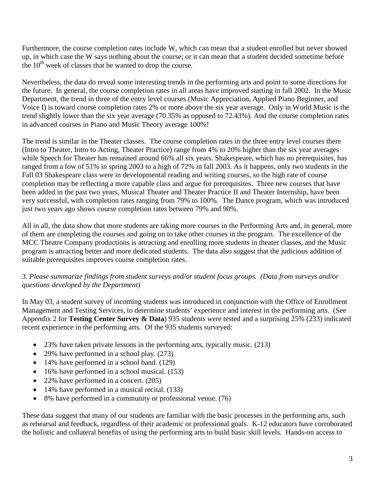Furthermore, the course completion rates include W, which can mean that a student enrolled but never showed up, in which case the W says nothing about the course; or it can mean that a student decided sometime before the  $10<sup>th</sup>$  week of classes that he wanted to drop the course.

Nevertheless, the data do reveal some interesting trends in the performing arts and point to some directions for the future. In general, the course completion rates in all areas have improved starting in fall 2002. In the Music Department, the trend in three of the entry level courses (Music Appreciation, Applied Piano Beginner, and Voice I) is toward course completion rates 2% or more above the six year average. Only in World Music is the trend slightly lower than the six year average (70.35% as opposed to 72.43%). And the course completion rates in advanced courses in Piano and Music Theory average 100%!

The trend is similar in the Theater classes. The course completion rates in the three entry level courses there (Intro to Theater, Intro to Acting, Theater Practice) range from 4% to 20% higher than the six year averages while Speech for Theater has remained around 66% all six years. Shakespeare, which has no prerequisites, has ranged from a low of 51% in spring 2003 to a high of 72% in fall 2003. As it happens, only two students in the Fall 03 Shakespeare class were in developmental reading and writing courses, so the high rate of course completion may be reflecting a more capable class and argue for prerequisites. Three new courses that have been added in the past two years, Musical Theater and Theater Practice II and Theater Internship, have been very successful, with completion rates ranging from 79% to 100%. The Dance program, which was introduced just two years ago shows course completion rates between 79% and 90%.

All in all, the data show that more students are taking more courses in the Performing Arts and, in general, more of them are completing the courses and going on to take other courses in the program. The excellence of the MCC Theatre Company productions is attracting and enrolling more students in theater classes, and the Music program is attracting better and more dedicated students. The data also suggest that the judicious addition of suitable prerequisites improves course completion rates.

#### 3. *Please summarize findings from student surveys and/or student focus groups. (Data from surveys and/or questions developed by the Department)*

In May 03, a student survey of incoming students was introduced in conjunction with the Office of Enrollment Management and Testing Services, to determine students' experience and interest in the performing arts. (See Appendix 2 for **Testing Center Survey & Data**) 935 students were tested and a surprising 25% (233) indicated recent experience in the performing arts. Of the 935 students surveyed:

- 23% have taken private lessons in the performing arts, typically music. (213)
- 29% have performed in a school play. (273)
- 14% have performed in a school band. (129)
- 16% have performed in a school musical. (153)
- 22% have performed in a concert. (205)
- 14% have performed in a musical recital. (133)
- 8% have performed in a community or professional venue. (76)

These data suggest that many of our students are familiar with the basic processes in the performing arts, such as rehearsal and feedback, regardless of their academic or professional goals. K-12 educators have corroborated the holistic and collateral benefits of using the performing arts to build basic skill levels. Hands-on access to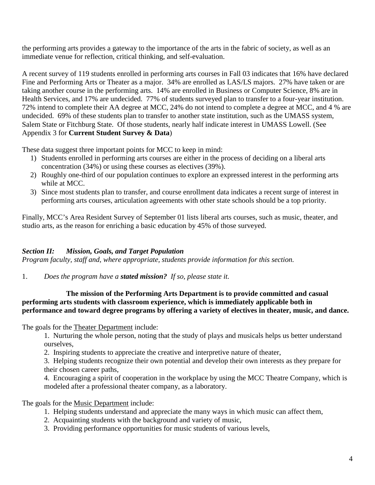the performing arts provides a gateway to the importance of the arts in the fabric of society, as well as an immediate venue for reflection, critical thinking, and self-evaluation.

A recent survey of 119 students enrolled in performing arts courses in Fall 03 indicates that 16% have declared Fine and Performing Arts or Theater as a major. 34% are enrolled as LAS/LS majors. 27% have taken or are taking another course in the performing arts. 14% are enrolled in Business or Computer Science, 8% are in Health Services, and 17% are undecided. 77% of students surveyed plan to transfer to a four-year institution. 72% intend to complete their AA degree at MCC, 24% do not intend to complete a degree at MCC, and 4 % are undecided. 69% of these students plan to transfer to another state institution, such as the UMASS system, Salem State or Fitchburg State. Of those students, nearly half indicate interest in UMASS Lowell. (See Appendix 3 for **Current Student Survey & Data**)

These data suggest three important points for MCC to keep in mind:

- 1) Students enrolled in performing arts courses are either in the process of deciding on a liberal arts concentration (34%) or using these courses as electives (39%).
- 2) Roughly one-third of our population continues to explore an expressed interest in the performing arts while at MCC.
- 3) Since most students plan to transfer, and course enrollment data indicates a recent surge of interest in performing arts courses, articulation agreements with other state schools should be a top priority.

Finally, MCC's Area Resident Survey of September 01 lists liberal arts courses, such as music, theater, and studio arts, as the reason for enriching a basic education by 45% of those surveyed.

# *Section II: Mission, Goals, and Target Population*

*Program faculty, staff and, where appropriate, students provide information for this section.* 

1. *Does the program have a stated mission? If so, please state it.* 

#### **The mission of the Performing Arts Department is to provide committed and casual performing arts students with classroom experience, which is immediately applicable both in performance and toward degree programs by offering a variety of electives in theater, music, and dance.**

The goals for the Theater Department include:

1. Nurturing the whole person, noting that the study of plays and musicals helps us better understand ourselves,

2. Inspiring students to appreciate the creative and interpretive nature of theater,

3. Helping students recognize their own potential and develop their own interests as they prepare for their chosen career paths,

4. Encouraging a spirit of cooperation in the workplace by using the MCC Theatre Company, which is modeled after a professional theater company, as a laboratory.

The goals for the Music Department include:

- 1. Helping students understand and appreciate the many ways in which music can affect them,
- 2. Acquainting students with the background and variety of music,
- 3. Providing performance opportunities for music students of various levels,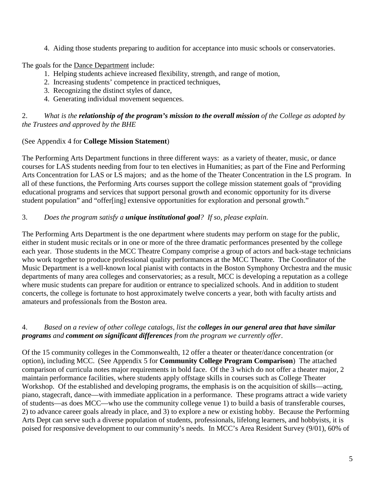4. Aiding those students preparing to audition for acceptance into music schools or conservatories.

The goals for the Dance Department include:

- 1. Helping students achieve increased flexibility, strength, and range of motion,
- 2. Increasing students' competence in practiced techniques,
- 3. Recognizing the distinct styles of dance,
- 4. Generating individual movement sequences.

#### 2. *What is the relationship of the program's mission to the overall mission of the College as adopted by the Trustees and approved by the BHE*

#### (See Appendix 4 for **College Mission Statement**)

The Performing Arts Department functions in three different ways: as a variety of theater, music, or dance courses for LAS students needing from four to ten electives in Humanities; as part of the Fine and Performing Arts Concentration for LAS or LS majors; and as the home of the Theater Concentration in the LS program. In all of these functions, the Performing Arts courses support the college mission statement goals of "providing educational programs and services that support personal growth and economic opportunity for its diverse student population" and "offer[ing] extensive opportunities for exploration and personal growth."

#### 3. *Does the program satisfy a unique institutional goal? If so, please explain*.

The Performing Arts Department is the one department where students may perform on stage for the public, either in student music recitals or in one or more of the three dramatic performances presented by the college each year. Those students in the MCC Theatre Company comprise a group of actors and back-stage technicians who work together to produce professional quality performances at the MCC Theatre. The Coordinator of the Music Department is a well-known local pianist with contacts in the Boston Symphony Orchestra and the music departments of many area colleges and conservatories; as a result, MCC is developing a reputation as a college where music students can prepare for audition or entrance to specialized schools. And in addition to student concerts, the college is fortunate to host approximately twelve concerts a year, both with faculty artists and amateurs and professionals from the Boston area.

#### 4. *Based on a review of other college catalogs, list the colleges in our general area that have similar programs and comment on significant differences from the program we currently offer*.

Of the 15 community colleges in the Commonwealth, 12 offer a theater or theater/dance concentration (or option), including MCC. (See Appendix 5 for **Community College Program Comparison**)The attached comparison of curricula notes major requirements in bold face. Of the 3 which do not offer a theater major, 2 maintain performance facilities, where students apply offstage skills in courses such as College Theater Workshop. Of the established and developing programs, the emphasis is on the acquisition of skills—acting, piano, stagecraft, dance—with immediate application in a performance. These programs attract a wide variety of students—as does MCC—who use the community college venue 1) to build a basis of transferable courses, 2) to advance career goals already in place, and 3) to explore a new or existing hobby. Because the Performing Arts Dept can serve such a diverse population of students, professionals, lifelong learners, and hobbyists, it is poised for responsive development to our community's needs. In MCC's Area Resident Survey (9/01), 60% of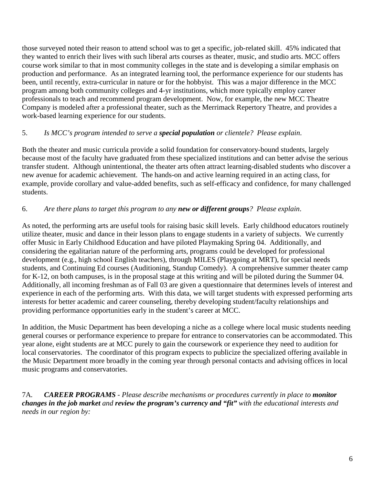those surveyed noted their reason to attend school was to get a specific, job-related skill. 45% indicated that they wanted to enrich their lives with such liberal arts courses as theater, music, and studio arts. MCC offers course work similar to that in most community colleges in the state and is developing a similar emphasis on production and performance. As an integrated learning tool, the performance experience for our students has been, until recently, extra-curricular in nature or for the hobbyist. This was a major difference in the MCC program among both community colleges and 4-yr institutions, which more typically employ career professionals to teach and recommend program development. Now, for example, the new MCC Theatre Company is modeled after a professional theater, such as the Merrimack Repertory Theatre, and provides a work-based learning experience for our students.

## 5. *Is MCC's program intended to serve a special population or clientele? Please explain*.

Both the theater and music curricula provide a solid foundation for conservatory-bound students, largely because most of the faculty have graduated from these specialized institutions and can better advise the serious transfer student. Although unintentional, the theater arts often attract learning-disabled students who discover a new avenue for academic achievement. The hands-on and active learning required in an acting class, for example, provide corollary and value-added benefits, such as self-efficacy and confidence, for many challenged students.

## 6. *Are there plans to target this program to any new or different groups? Please explain*.

As noted, the performing arts are useful tools for raising basic skill levels. Early childhood educators routinely utilize theater, music and dance in their lesson plans to engage students in a variety of subjects. We currently offer Music in Early Childhood Education and have piloted Playmaking Spring 04. Additionally, and considering the egalitarian nature of the performing arts, programs could be developed for professional development (e.g., high school English teachers), through MILES (Playgoing at MRT), for special needs students, and Continuing Ed courses (Auditioning, Standup Comedy). A comprehensive summer theater camp for K-12, on both campuses, is in the proposal stage at this writing and will be piloted during the Summer 04. Additionally, all incoming freshman as of Fall 03 are given a questionnaire that determines levels of interest and experience in each of the performing arts. With this data, we will target students with expressed performing arts interests for better academic and career counseling, thereby developing student/faculty relationships and providing performance opportunities early in the student's career at MCC.

In addition, the Music Department has been developing a niche as a college where local music students needing general courses or performance experience to prepare for entrance to conservatories can be accommodated. This year alone, eight students are at MCC purely to gain the coursework or experience they need to audition for local conservatories. The coordinator of this program expects to publicize the specialized offering available in the Music Department more broadly in the coming year through personal contacts and advising offices in local music programs and conservatories.

7A*. CAREER PROGRAMS - Please describe mechanisms or procedures currently in place to monitor changes in the job market and review the program's currency and "fit" with the educational interests and needs in our region by:*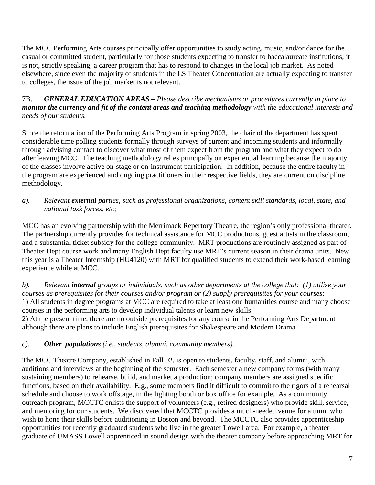The MCC Performing Arts courses principally offer opportunities to study acting, music, and/or dance for the casual or committed student, particularly for those students expecting to transfer to baccalaureate institutions; it is not, strictly speaking, a career program that has to respond to changes in the local job market. As noted elsewhere, since even the majority of students in the LS Theater Concentration are actually expecting to transfer to colleges, the issue of the job market is not relevant.

#### 7B. *GENERAL EDUCATION AREAS – Please describe mechanisms or procedures currently in place to monitor the currency and fit of the content areas and teaching methodology with the educational interests and needs of our students.*

Since the reformation of the Performing Arts Program in spring 2003, the chair of the department has spent considerable time polling students formally through surveys of current and incoming students and informally through advising contact to discover what most of them expect from the program and what they expect to do after leaving MCC. The teaching methodology relies principally on experiential learning because the majority of the classes involve active on-stage or on-instrument participation. In addition, because the entire faculty in the program are experienced and ongoing practitioners in their respective fields, they are current on discipline methodology.

#### *a). Relevant external parties, such as professional organizations, content skill standards, local, state, and national task forces, etc*;

MCC has an evolving partnership with the Merrimack Repertory Theatre, the region's only professional theater. The partnership currently provides for technical assistance for MCC productions, guest artists in the classroom, and a substantial ticket subsidy for the college community. MRT productions are routinely assigned as part of Theater Dept course work and many English Dept faculty use MRT's current season in their drama units. New this year is a Theater Internship (HU4120) with MRT for qualified students to extend their work-based learning experience while at MCC.

*b). Relevant internal groups or individuals, such as other departments at the college that: (1) utilize your courses as prerequisites for their courses and/or program or (2) supply prerequisites for your courses*; 1) All students in degree programs at MCC are required to take at least one humanities course and many choose courses in the performing arts to develop individual talents or learn new skills.

2) At the present time, there are no outside prerequisites for any course in the Performing Arts Department although there are plans to include English prerequisites for Shakespeare and Modern Drama.

## *c). Other populations (i.e., students, alumni, community members).*

The MCC Theatre Company, established in Fall 02, is open to students, faculty, staff, and alumni, with auditions and interviews at the beginning of the semester. Each semester a new company forms (with many sustaining members) to rehearse, build, and market a production; company members are assigned specific functions, based on their availability. E.g., some members find it difficult to commit to the rigors of a rehearsal schedule and choose to work offstage, in the lighting booth or box office for example. As a community outreach program, MCCTC enlists the support of volunteers (e.g., retired designers) who provide skill, service, and mentoring for our students. We discovered that MCCTC provides a much-needed venue for alumni who wish to hone their skills before auditioning in Boston and beyond. The MCCTC also provides apprenticeship opportunities for recently graduated students who live in the greater Lowell area. For example, a theater graduate of UMASS Lowell apprenticed in sound design with the theater company before approaching MRT for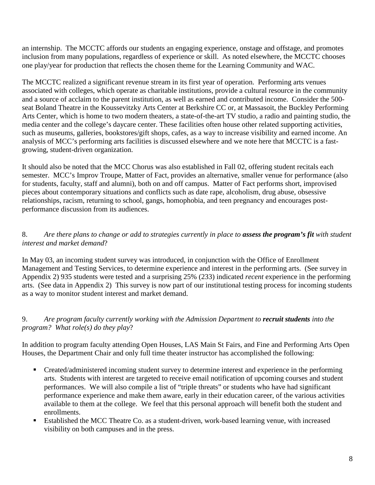an internship. The MCCTC affords our students an engaging experience, onstage and offstage, and promotes inclusion from many populations, regardless of experience or skill. As noted elsewhere, the MCCTC chooses one play/year for production that reflects the chosen theme for the Learning Community and WAC.

The MCCTC realized a significant revenue stream in its first year of operation. Performing arts venues associated with colleges, which operate as charitable institutions, provide a cultural resource in the community and a source of acclaim to the parent institution, as well as earned and contributed income. Consider the 500 seat Boland Theatre in the Koussevitzky Arts Center at Berkshire CC or, at Massasoit, the Buckley Performing Arts Center, which is home to two modern theaters, a state-of-the-art TV studio, a radio and painting studio, the media center and the college's daycare center. These facilities often house other related supporting activities, such as museums, galleries, bookstores/gift shops, cafes, as a way to increase visibility and earned income. An analysis of MCC's performing arts facilities is discussed elsewhere and we note here that MCCTC is a fastgrowing, student-driven organization.

It should also be noted that the MCC Chorus was also established in Fall 02, offering student recitals each semester. MCC's Improv Troupe, Matter of Fact, provides an alternative, smaller venue for performance (also for students, faculty, staff and alumni), both on and off campus. Matter of Fact performs short, improvised pieces about contemporary situations and conflicts such as date rape, alcoholism, drug abuse, obsessive relationships, racism, returning to school, gangs, homophobia, and teen pregnancy and encourages postperformance discussion from its audiences.

## 8. *Are there plans to change or add to strategies currently in place to assess the program's fit with student interest and market demand*?

In May 03, an incoming student survey was introduced, in conjunction with the Office of Enrollment Management and Testing Services, to determine experience and interest in the performing arts. (See survey in Appendix 2) 935 students were tested and a surprising 25% (233) indicated *recent* experience in the performing arts. (See data in Appendix 2) This survey is now part of our institutional testing process for incoming students as a way to monitor student interest and market demand.

#### 9. *Are program faculty currently working with the Admission Department to recruit students into the program? What role(s) do they play*?

In addition to program faculty attending Open Houses, LAS Main St Fairs, and Fine and Performing Arts Open Houses, the Department Chair and only full time theater instructor has accomplished the following:

- Created/administered incoming student survey to determine interest and experience in the performing arts. Students with interest are targeted to receive email notification of upcoming courses and student performances. We will also compile a list of "triple threats" or students who have had significant performance experience and make them aware, early in their education career, of the various activities available to them at the college. We feel that this personal approach will benefit both the student and enrollments.
- Established the MCC Theatre Co. as a student-driven, work-based learning venue, with increased visibility on both campuses and in the press.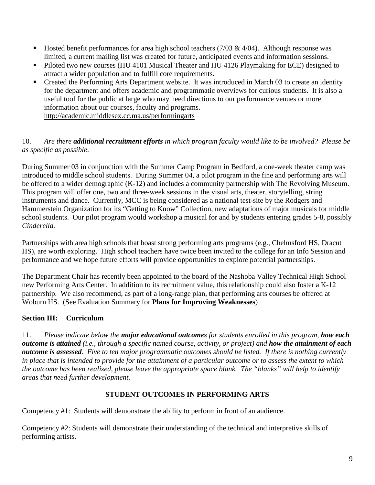- Hosted benefit performances for area high school teachers  $(7/03 \& 4/04)$ . Although response was limited, a current mailing list was created for future, anticipated events and information sessions.
- Piloted two new courses (HU 4101 Musical Theater and HU 4126 Playmaking for ECE) designed to attract a wider population and to fulfill core requirements.
- Created the Performing Arts Department website. It was introduced in March 03 to create an identity for the department and offers academic and programmatic overviews for curious students. It is also a useful tool for the public at large who may need directions to our performance venues or more information about our courses, faculty and programs. http://academic.middlesex.cc.ma.us/performingarts

## 10. *Are there additional recruitment efforts in which program faculty would like to be involved? Please be as specific as possible*.

During Summer 03 in conjunction with the Summer Camp Program in Bedford, a one-week theater camp was introduced to middle school students. During Summer 04, a pilot program in the fine and performing arts will be offered to a wider demographic (K-12) and includes a community partnership with The Revolving Museum. This program will offer one, two and three-week sessions in the visual arts, theater, storytelling, string instruments and dance. Currently, MCC is being considered as a national test-site by the Rodgers and Hammerstein Organization for its "Getting to Know" Collection, new adaptations of major musicals for middle school students. Our pilot program would workshop a musical for and by students entering grades 5-8, possibly *Cinderella.*

Partnerships with area high schools that boast strong performing arts programs (e.g., Chelmsford HS, Dracut HS), are worth exploring. High school teachers have twice been invited to the college for an Info Session and performance and we hope future efforts will provide opportunities to explore potential partnerships.

The Department Chair has recently been appointed to the board of the Nashoba Valley Technical High School new Performing Arts Center. In addition to its recruitment value, this relationship could also foster a K-12 partnership. We also recommend, as part of a long-range plan, that performing arts courses be offered at Woburn HS. (See Evaluation Summary for **Plans for Improving Weaknesses**)

# **Section III: Curriculum**

11. *Please indicate below the major educational outcomes for students enrolled in this program, how each outcome is attained (i.e., through a specific named course, activity, or project) and how the attainment of each outcome is assessed. Five to ten major programmatic outcomes should be listed. If there is nothing currently in place that is intended to provide for the attainment of a particular outcome or to assess the extent to which the outcome has been realized, please leave the appropriate space blank. The "blanks" will help to identify areas that need further development.*

## **STUDENT OUTCOMES IN PERFORMING ARTS**

Competency #1: Students will demonstrate the ability to perform in front of an audience.

Competency #2: Students will demonstrate their understanding of the technical and interpretive skills of performing artists.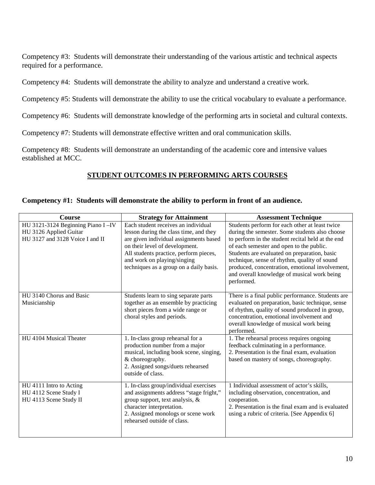Competency #3: Students will demonstrate their understanding of the various artistic and technical aspects required for a performance.

Competency #4: Students will demonstrate the ability to analyze and understand a creative work.

Competency #5: Students will demonstrate the ability to use the critical vocabulary to evaluate a performance.

Competency #6: Students will demonstrate knowledge of the performing arts in societal and cultural contexts.

Competency #7: Students will demonstrate effective written and oral communication skills.

Competency #8: Students will demonstrate an understanding of the academic core and intensive values established at MCC.

# **STUDENT OUTCOMES IN PERFORMING ARTS COURSES**

#### **Competency #1: Students will demonstrate the ability to perform in front of an audience.**

| <b>Course</b>                                                                                  | <b>Strategy for Attainment</b>                                                                                                                                                                                                                                                | <b>Assessment Technique</b>                                                                                                                                                                                                                                                                                                                                                                                       |
|------------------------------------------------------------------------------------------------|-------------------------------------------------------------------------------------------------------------------------------------------------------------------------------------------------------------------------------------------------------------------------------|-------------------------------------------------------------------------------------------------------------------------------------------------------------------------------------------------------------------------------------------------------------------------------------------------------------------------------------------------------------------------------------------------------------------|
| HU 3121-3124 Beginning Piano I-IV<br>HU 3126 Applied Guitar<br>HU 3127 and 3128 Voice I and II | Each student receives an individual<br>lesson during the class time, and they<br>are given individual assignments based<br>on their level of development.<br>All students practice, perform pieces,<br>and work on playing/singing<br>techniques as a group on a daily basis. | Students perform for each other at least twice<br>during the semester. Some students also choose<br>to perform in the student recital held at the end<br>of each semester and open to the public.<br>Students are evaluated on preparation, basic<br>technique, sense of rhythm, quality of sound<br>produced, concentration, emotional involvement,<br>and overall knowledge of musical work being<br>performed. |
| HU 3140 Chorus and Basic<br>Musicianship                                                       | Students learn to sing separate parts<br>together as an ensemble by practicing<br>short pieces from a wide range or<br>choral styles and periods.                                                                                                                             | There is a final public performance. Students are<br>evaluated on preparation, basic technique, sense<br>of rhythm, quality of sound produced in group,<br>concentration, emotional involvement and<br>overall knowledge of musical work being<br>performed.                                                                                                                                                      |
| HU 4104 Musical Theater                                                                        | 1. In-class group rehearsal for a<br>production number from a major<br>musical, including book scene, singing,<br>& choreography.<br>2. Assigned songs/duets rehearsed<br>outside of class.                                                                                   | 1. The rehearsal process requires ongoing<br>feedback culminating in a performance.<br>2. Presentation is the final exam, evaluation<br>based on mastery of songs, choreography.                                                                                                                                                                                                                                  |
| HU 4111 Intro to Acting<br>HU 4112 Scene Study I<br>HU 4113 Scene Study II                     | 1. In-class group/individual exercises<br>and assignments address "stage fright,"<br>group support, text analysis, &<br>character interpretation.<br>2. Assigned monologs or scene work<br>rehearsed outside of class.                                                        | 1 Individual assessment of actor's skills,<br>including observation, concentration, and<br>cooperation.<br>2. Presentation is the final exam and is evaluated<br>using a rubric of criteria. [See Appendix 6]                                                                                                                                                                                                     |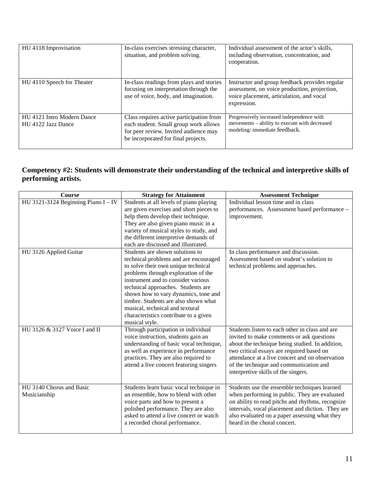| HU 4118 Improvisation                            | In-class exercises stressing character,<br>situation, and problem solving.                                                                                        | Individual assessment of the actor's skills,<br>including observation, concentration, and<br>cooperation.                                                 |
|--------------------------------------------------|-------------------------------------------------------------------------------------------------------------------------------------------------------------------|-----------------------------------------------------------------------------------------------------------------------------------------------------------|
| HU 4110 Speech for Theater                       | In-class readings from plays and stories<br>focusing on interpretation through the<br>use of voice, body, and imagination.                                        | Instructor and group feedback provides regular<br>assessment, on voice production, projection,<br>voice placement, articulation, and vocal<br>expression. |
| HU 4121 Intro Modern Dance<br>HU 4122 Jazz Dance | Class requires active participation from<br>each student. Small group work allows<br>for peer review. Invited audience may<br>be incorporated for final projects. | Progressively increased independence with<br>movements – ability to execute with decreased<br>modeling/immediate feedback.                                |

#### **Competency #2: Students will demonstrate their understanding of the technical and interpretive skills of performing artists.**

| <b>Course</b>                         | <b>Strategy for Attainment</b>          | <b>Assessment Technique</b>                      |
|---------------------------------------|-----------------------------------------|--------------------------------------------------|
| HU 3121-3124 Beginning Piano $I - IV$ | Students at all levels of piano playing | Individual lesson time and in class              |
|                                       | are given exercises and short pieces to | performances. Assessment based performance -     |
|                                       | help them develop their technique.      | improvement.                                     |
|                                       | They are also given piano music in a    |                                                  |
|                                       | variety of musical styles to study, and |                                                  |
|                                       | the different interpretive demands of   |                                                  |
|                                       | each are discussed and illustrated.     |                                                  |
| HU 3126 Applied Guitar                | Students are shown solutions to         | In class performance and discussion.             |
|                                       | technical problems and are encouraged   | Assessment based on student's solution to        |
|                                       | to solve their own unique technical     | technical problems and approaches.               |
|                                       | problems through exploration of the     |                                                  |
|                                       | instrument and to consider various      |                                                  |
|                                       | technical approaches. Students are      |                                                  |
|                                       | shown how to vary dynamics, tone and    |                                                  |
|                                       | timbre. Students are also shown what    |                                                  |
|                                       | musical, technical and textural         |                                                  |
|                                       | characteristics contribute to a given   |                                                  |
|                                       | musical style.                          |                                                  |
| HU 3126 & 3127 Voice I and II         | Through participation in individual     | Students listen to each other in class and are   |
|                                       | voice instruction, students gain an     | invited to make comments or ask questions        |
|                                       | understanding of basic vocal technique, | about the technique being studied. In addition,  |
|                                       | as well as experience in performance    | two critical essays are required based on        |
|                                       | practices. They are also required to    | attendance at a live concert and on observation  |
|                                       | attend a live concert featuring singers | of the technique and communication and           |
|                                       |                                         | interpretive skills of the singers.              |
|                                       |                                         |                                                  |
| HU 3140 Chorus and Basic              | Students learn basic vocal technique in | Students use the ensemble techniques learned     |
| Musicianship                          | an ensemble, how to blend with other    | when performing in public. They are evaluated    |
|                                       | voice parts and how to present a        | on ability to read pitchs and rhythms, recognize |
|                                       | polished performance. They are also     | intervals, vocal placement and diction. They are |
|                                       | asked to attend a live concert or watch | also evaluated on a paper assessing what they    |
|                                       | a recorded choral performance.          | heard in the choral concert.                     |
|                                       |                                         |                                                  |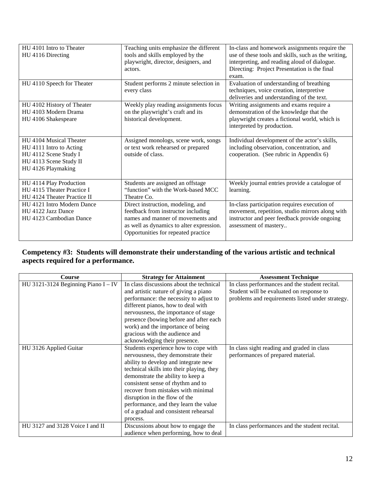| HU 4101 Intro to Theater<br>HU 4116 Directing                                                                               | Teaching units emphasize the different<br>tools and skills employed by the<br>playwright, director, designers, and<br>actors.                                                                   | In-class and homework assignments require the<br>use of these tools and skills, such as the writing,<br>interpreting, and reading aloud of dialogue.<br>Directing: Project Presentation is the final<br>exam. |
|-----------------------------------------------------------------------------------------------------------------------------|-------------------------------------------------------------------------------------------------------------------------------------------------------------------------------------------------|---------------------------------------------------------------------------------------------------------------------------------------------------------------------------------------------------------------|
| HU 4110 Speech for Theater                                                                                                  | Student performs 2 minute selection in<br>every class                                                                                                                                           | Evaluation of understanding of breathing<br>techniques, voice creation, interpretive<br>deliveries and understanding of the text.                                                                             |
| HU 4102 History of Theater<br>HU 4103 Modern Drama<br>HU 4106 Shakespeare                                                   | Weekly play reading assignments focus<br>on the playwright's craft and its<br>historical development.                                                                                           | Writing assignments and exams require a<br>demonstration of the knowledge that the<br>playwright creates a fictional world, which is<br>interpreted by production.                                            |
| HU 4104 Musical Theater<br>HU 4111 Intro to Acting<br>HU 4112 Scene Study I<br>HU 4113 Scene Study II<br>HU 4126 Playmaking | Assigned monologs, scene work, songs<br>or text work rehearsed or prepared<br>outside of class.                                                                                                 | Individual development of the actor's skills,<br>including observation, concentration, and<br>cooperation. (See rubric in Appendix 6)                                                                         |
| HU 4114 Play Production<br>HU 4115 Theater Practice I<br>HU 4124 Theater Practice II                                        | Students are assigned an offstage<br>"function" with the Work-based MCC<br>Theatre Co.                                                                                                          | Weekly journal entries provide a catalogue of<br>learning.                                                                                                                                                    |
| HU 4121 Intro Modern Dance<br>HU 4122 Jazz Dance<br>HU 4123 Cambodian Dance                                                 | Direct instruction, modeling, and<br>feedback from instructor including<br>names and manner of movements and<br>as well as dynamics to alter expression.<br>Opportunities for repeated practice | In-class participation requires execution of<br>movement, repetition, studio mirrors along with<br>instructor and peer feedback provide ongoing<br>assessment of mastery                                      |

# **Competency #3: Students will demonstrate their understanding of the various artistic and technical aspects required for a performance.**

| <b>Course</b>                         | <b>Strategy for Attainment</b>            | <b>Assessment Technique</b>                      |
|---------------------------------------|-------------------------------------------|--------------------------------------------------|
| HU 3121-3124 Beginning Piano $I - IV$ | In class discussions about the technical  | In class performances and the student recital.   |
|                                       | and artistic nature of giving a piano     | Student will be evaluated on response to         |
|                                       | performance: the necessity to adjust to   | problems and requirements listed under strategy. |
|                                       | different pianos, how to deal with        |                                                  |
|                                       | nervousness, the importance of stage      |                                                  |
|                                       | presence (bowing before and after each    |                                                  |
|                                       | work) and the importance of being         |                                                  |
|                                       | gracious with the audience and            |                                                  |
|                                       | acknowledging their presence.             |                                                  |
| HU 3126 Applied Guitar                | Students experience how to cope with      | In class sight reading and graded in class       |
|                                       | nervousness, they demonstrate their       | performances of prepared material.               |
|                                       | ability to develop and integrate new      |                                                  |
|                                       | technical skills into their playing, they |                                                  |
|                                       | demonstrate the ability to keep a         |                                                  |
|                                       | consistent sense of rhythm and to         |                                                  |
|                                       | recover from mistakes with minimal        |                                                  |
|                                       | disruption in the flow of the             |                                                  |
|                                       | performance, and they learn the value     |                                                  |
|                                       | of a gradual and consistent rehearsal     |                                                  |
|                                       | process.                                  |                                                  |
| HU 3127 and 3128 Voice I and II       | Discussions about how to engage the       | In class performances and the student recital.   |
|                                       | audience when performing, how to deal     |                                                  |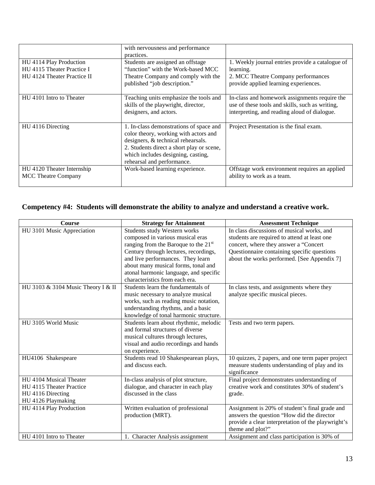|                             | with nervousness and performance                                                                        |                                                                                                                                                  |
|-----------------------------|---------------------------------------------------------------------------------------------------------|--------------------------------------------------------------------------------------------------------------------------------------------------|
|                             | practices.                                                                                              |                                                                                                                                                  |
| HU 4114 Play Production     | Students are assigned an offstage                                                                       | 1. Weekly journal entries provide a catalogue of                                                                                                 |
| HU 4115 Theater Practice I  | "function" with the Work-based MCC                                                                      | learning.                                                                                                                                        |
| HU 4124 Theater Practice II | Theatre Company and comply with the                                                                     | 2. MCC Theatre Company performances                                                                                                              |
|                             | published "job description."                                                                            | provide applied learning experiences.                                                                                                            |
| HU 4101 Intro to Theater    | Teaching units emphasize the tools and<br>skills of the playwright, director,<br>designers, and actors. | In-class and homework assignments require the<br>use of these tools and skills, such as writing,<br>interpreting, and reading aloud of dialogue. |
| HU 4116 Directing           | 1. In-class demonstrations of space and                                                                 | Project Presentation is the final exam.                                                                                                          |
|                             | color theory, working with actors and                                                                   |                                                                                                                                                  |
|                             | designers, & technical rehearsals.                                                                      |                                                                                                                                                  |
|                             | 2. Students direct a short play or scene,                                                               |                                                                                                                                                  |
|                             | which includes designing, casting,                                                                      |                                                                                                                                                  |
|                             | rehearsal and performance.                                                                              |                                                                                                                                                  |
| HU 4120 Theater Internship  | Work-based learning experience.                                                                         | Offstage work environment requires an applied                                                                                                    |
| <b>MCC Theatre Company</b>  |                                                                                                         | ability to work as a team.                                                                                                                       |
|                             |                                                                                                         |                                                                                                                                                  |

# **Competency #4: Students will demonstrate the ability to analyze and understand a creative work.**

| Course                             | <b>Strategy for Attainment</b>                   | <b>Assessment Technique</b>                        |
|------------------------------------|--------------------------------------------------|----------------------------------------------------|
| HU 3101 Music Appreciation         | Students study Western works                     | In class discussions of musical works, and         |
|                                    | composed in various musical eras                 | students are required to attend at least one       |
|                                    | ranging from the Baroque to the 21 <sup>st</sup> | concert, where they answer a "Concert              |
|                                    | Century through lectures, recordings,            | Questionnaire containing specific questions        |
|                                    | and live performances. They learn                | about the works performed. [See Appendix 7]        |
|                                    | about many musical forms, tonal and              |                                                    |
|                                    | atonal harmonic language, and specific           |                                                    |
|                                    | characteristics from each era.                   |                                                    |
| HU 3103 & 3104 Music Theory I & II | Students learn the fundamentals of               | In class tests, and assignments where they         |
|                                    | music necessary to analyze musical               | analyze specific musical pieces.                   |
|                                    | works, such as reading music notation,           |                                                    |
|                                    | understanding rhythms, and a basic               |                                                    |
|                                    | knowledge of tonal harmonic structure.           |                                                    |
| HU 3105 World Music                | Students learn about rhythmic, melodic           | Tests and two term papers.                         |
|                                    | and formal structures of diverse                 |                                                    |
|                                    | musical cultures through lectures,               |                                                    |
|                                    | visual and audio recordings and hands            |                                                    |
|                                    | on experience.                                   |                                                    |
| HU4106 Shakespeare                 | Students read 10 Shakespearean plays,            | 10 quizzes, 2 papers, and one term paper project   |
|                                    | and discuss each.                                | measure students understanding of play and its     |
|                                    |                                                  | significance                                       |
| HU 4104 Musical Theater            | In-class analysis of plot structure,             | Final project demonstrates understanding of        |
| HU 4115 Theater Practice           | dialogue, and character in each play             | creative work and constitutes 30% of student's     |
| HU 4116 Directing                  | discussed in the class                           | grade.                                             |
| HU 4126 Playmaking                 |                                                  |                                                    |
| HU 4114 Play Production            | Written evaluation of professional               | Assignment is 20% of student's final grade and     |
|                                    | production (MRT).                                | answers the question "How did the director         |
|                                    |                                                  | provide a clear interpretation of the playwright's |
|                                    |                                                  | theme and plot?"                                   |
| HU 4101 Intro to Theater           | 1. Character Analysis assignment                 | Assignment and class participation is 30% of       |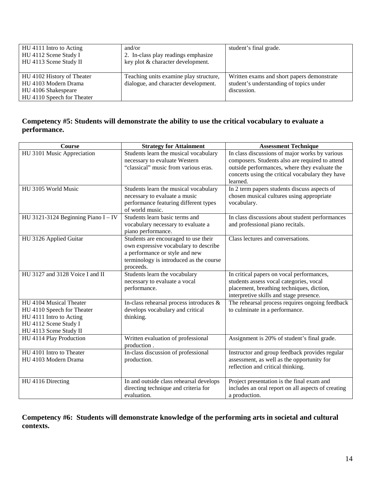| HU 4111 Intro to Acting<br>HU 4112 Scene Study I<br>HU 4113 Scene Study II                              | and/or<br>2. In-class play readings emphasize<br>key plot & character development. | student's final grade.                                                                               |
|---------------------------------------------------------------------------------------------------------|------------------------------------------------------------------------------------|------------------------------------------------------------------------------------------------------|
| HU 4102 History of Theater<br>HU 4103 Modern Drama<br>HU 4106 Shakespeare<br>HU 4110 Speech for Theater | Teaching units examine play structure,<br>dialogue, and character development.     | Written exams and short papers demonstrate<br>student's understanding of topics under<br>discussion. |

## **Competency #5: Students will demonstrate the ability to use the critical vocabulary to evaluate a performance.**

| <b>Course</b>                         | <b>Strategy for Attainment</b>          | <b>Assessment Technique</b>                        |
|---------------------------------------|-----------------------------------------|----------------------------------------------------|
| HU 3101 Music Appreciation            | Students learn the musical vocabulary   | In class discussions of major works by various     |
|                                       | necessary to evaluate Western           | composers. Students also are required to attend    |
|                                       | "classical" music from various eras.    | outside performances, where they evaluate the      |
|                                       |                                         | concerts using the critical vocabulary they have   |
|                                       |                                         | learned.                                           |
| HU 3105 World Music                   | Students learn the musical vocabulary   | In 2 term papers students discuss aspects of       |
|                                       | necessary to evaluate a music           | chosen musical cultures using appropriate          |
|                                       | performance featuring different types   | vocabulary.                                        |
|                                       | of world music.                         |                                                    |
| HU 3121-3124 Beginning Piano $I - IV$ | Students learn basic terms and          | In class discussions about student performances    |
|                                       | vocabulary necessary to evaluate a      | and professional piano recitals.                   |
|                                       | piano performance.                      |                                                    |
| HU 3126 Applied Guitar                | Students are encouraged to use their    | Class lectures and conversations.                  |
|                                       | own expressive vocabulary to describe   |                                                    |
|                                       | a performance or style and new          |                                                    |
|                                       | terminology is introduced as the course |                                                    |
|                                       | proceeds.                               |                                                    |
| HU 3127 and 3128 Voice I and II       | Students learn the vocabulary           | In critical papers on vocal performances,          |
|                                       | necessary to evaluate a vocal           | students assess vocal categories, vocal            |
|                                       | performance.                            | placement, breathing techniques, diction,          |
|                                       |                                         | interpretive skills and stage presence.            |
| HU 4104 Musical Theater               | In-class rehearsal process introduces & | The rehearsal process requires ongoing feedback    |
| HU 4110 Speech for Theater            | develops vocabulary and critical        | to culminate in a performance.                     |
| HU 4111 Intro to Acting               | thinking.                               |                                                    |
| HU 4112 Scene Study I                 |                                         |                                                    |
| HU 4113 Scene Study II                |                                         |                                                    |
| HU 4114 Play Production               | Written evaluation of professional      | Assignment is 20% of student's final grade.        |
|                                       | production.                             |                                                    |
| HU 4101 Intro to Theater              | In-class discussion of professional     | Instructor and group feedback provides regular     |
| HU 4103 Modern Drama                  | production.                             | assessment, as well as the opportunity for         |
|                                       |                                         | reflection and critical thinking.                  |
|                                       |                                         |                                                    |
| HU 4116 Directing                     | In and outside class rehearsal develops | Project presentation is the final exam and         |
|                                       | directing technique and criteria for    | includes an oral report on all aspects of creating |
|                                       | evaluation.                             | a production.                                      |

**Competency #6: Students will demonstrate knowledge of the performing arts in societal and cultural contexts.**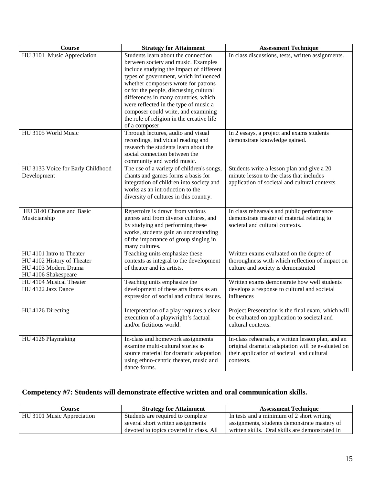| <b>Course</b>                                  | <b>Strategy for Attainment</b>                                                 | <b>Assessment Technique</b>                        |
|------------------------------------------------|--------------------------------------------------------------------------------|----------------------------------------------------|
| HU 3101 Music Appreciation                     | Students learn about the connection                                            | In class discussions, tests, written assignments.  |
|                                                | between society and music. Examples                                            |                                                    |
|                                                | include studying the impact of different                                       |                                                    |
|                                                | types of government, which influenced                                          |                                                    |
|                                                | whether composers wrote for patrons                                            |                                                    |
|                                                | or for the people, discussing cultural<br>differences in many countries, which |                                                    |
|                                                | were reflected in the type of music a                                          |                                                    |
|                                                | composer could write, and examining                                            |                                                    |
|                                                | the role of religion in the creative life                                      |                                                    |
|                                                | of a composer.                                                                 |                                                    |
| HU 3105 World Music                            | Through lectures, audio and visual                                             | In 2 essays, a project and exams students          |
|                                                | recordings, individual reading and                                             | demonstrate knowledge gained.                      |
|                                                | research the students learn about the                                          |                                                    |
|                                                | social connection between the                                                  |                                                    |
|                                                | community and world music.                                                     |                                                    |
| HU 3133 Voice for Early Childhood              | The use of a variety of children's songs,                                      | Students write a lesson plan and give a 20         |
| Development                                    | chants and games forms a basis for                                             | minute lesson to the class that includes           |
|                                                | integration of children into society and                                       | application of societal and cultural contexts.     |
|                                                | works as an introduction to the<br>diversity of cultures in this country.      |                                                    |
|                                                |                                                                                |                                                    |
| HU 3140 Chorus and Basic                       | Repertoire is drawn from various                                               | In class rehearsals and public performance         |
| Musicianship                                   | genres and from diverse cultures, and                                          | demonstrate master of material relating to         |
|                                                | by studying and performing these                                               | societal and cultural contexts.                    |
|                                                | works, students gain an understanding                                          |                                                    |
|                                                | of the importance of group singing in                                          |                                                    |
|                                                | many cultures.                                                                 |                                                    |
| HU 4101 Intro to Theater                       | Teaching units emphasize these                                                 | Written exams evaluated on the degree of           |
| HU 4102 History of Theater                     | contexts as integral to the development                                        | thoroughness with which reflection of impact on    |
| HU 4103 Modern Drama                           | of theater and its artists.                                                    | culture and society is demonstrated                |
| HU 4106 Shakespeare<br>HU 4104 Musical Theater | Teaching units emphasize the                                                   | Written exams demonstrate how well students        |
| HU 4122 Jazz Dance                             | development of these arts forms as an                                          | develops a response to cultural and societal       |
|                                                | expression of social and cultural issues.                                      | influences                                         |
|                                                |                                                                                |                                                    |
| HU 4126 Directing                              | Interpretation of a play requires a clear                                      | Project Presentation is the final exam, which will |
|                                                | execution of a playwright's factual                                            | be evaluated on application to societal and        |
|                                                | and/or fictitious world.                                                       | cultural contexts.                                 |
|                                                |                                                                                |                                                    |
| HU 4126 Playmaking                             | In-class and homework assignments                                              | In-class rehearsals, a written lesson plan, and an |
|                                                | examine multi-cultural stories as                                              | original dramatic adaptation will be evaluated on  |
|                                                | source material for dramatic adaptation                                        | their application of societal and cultural         |
|                                                | using ethno-centric theater, music and                                         | contexts.                                          |
|                                                | dance forms.                                                                   |                                                    |

# **Competency #7: Students will demonstrate effective written and oral communication skills.**

| Course                     | <b>Strategy for Attainment</b>          | <b>Assessment Technique</b>                     |
|----------------------------|-----------------------------------------|-------------------------------------------------|
| HU 3101 Music Appreciation | Students are required to complete       | In tests and a minimum of 2 short writing       |
|                            | several short written assignments       | assignments, students demonstrate mastery of    |
|                            | devoted to topics covered in class. All | written skills. Oral skills are demonstrated in |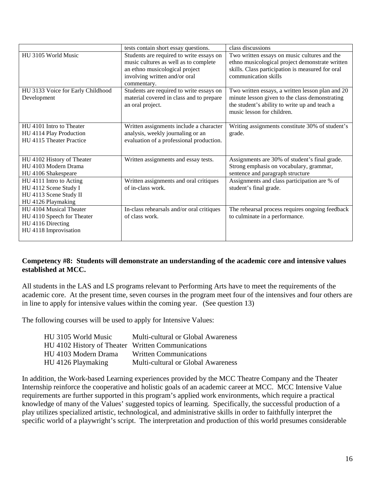|                                   | tests contain short essay questions.      | class discussions                                |  |
|-----------------------------------|-------------------------------------------|--------------------------------------------------|--|
| HU 3105 World Music               | Students are required to write essays on  | Two written essays on music cultures and the     |  |
|                                   | music cultures as well as to complete     | ethno musicological project demonstrate written  |  |
|                                   | an ethno musicological project            | skills. Class participation is measured for oral |  |
|                                   | involving written and/or oral             | communication skills                             |  |
|                                   | commentary.                               |                                                  |  |
| HU 3133 Voice for Early Childhood | Students are required to write essays on  | Two written essays, a written lesson plan and 20 |  |
| Development                       | material covered in class and to prepare  | minute lesson given to the class demonstrating   |  |
|                                   | an oral project.                          | the student's ability to write up and teach a    |  |
|                                   |                                           | music lesson for children.                       |  |
|                                   |                                           |                                                  |  |
| HU 4101 Intro to Theater          | Written assignments include a character   | Writing assignments constitute 30% of student's  |  |
| HU 4114 Play Production           | analysis, weekly journaling or an         | grade.                                           |  |
| HU 4115 Theater Practice          | evaluation of a professional production.  |                                                  |  |
|                                   |                                           |                                                  |  |
| HU 4102 History of Theater        | Written assignments and essay tests.      | Assignments are 30% of student's final grade.    |  |
| HU 4103 Modern Drama              |                                           | Strong emphasis on vocabulary, grammar,          |  |
| HU 4106 Shakespeare               |                                           | sentence and paragraph structure                 |  |
| HU 4111 Intro to Acting           | Written assignments and oral critiques    | Assignments and class participation are % of     |  |
| HU 4112 Scene Study I             | of in-class work.                         | student's final grade.                           |  |
| HU 4113 Scene Study II            |                                           |                                                  |  |
| HU 4126 Playmaking                |                                           |                                                  |  |
| HU 4104 Musical Theater           | In-class rehearsals and/or oral critiques | The rehearsal process requires ongoing feedback  |  |
| HU 4110 Speech for Theater        | of class work.                            | to culminate in a performance.                   |  |
| HU 4116 Directing                 |                                           |                                                  |  |
| HU 4118 Improvisation             |                                           |                                                  |  |
|                                   |                                           |                                                  |  |

#### **Competency #8: Students will demonstrate an understanding of the academic core and intensive values established at MCC.**

All students in the LAS and LS programs relevant to Performing Arts have to meet the requirements of the academic core. At the present time, seven courses in the program meet four of the intensives and four others are in line to apply for intensive values within the coming year. (See question 13)

The following courses will be used to apply for Intensive Values:

| HU 3105 World Music                               | Multi-cultural or Global Awareness |
|---------------------------------------------------|------------------------------------|
| HU 4102 History of Theater Written Communications |                                    |
| HU 4103 Modern Drama                              | <b>Written Communications</b>      |
| HU 4126 Playmaking                                | Multi-cultural or Global Awareness |

In addition, the Work-based Learning experiences provided by the MCC Theatre Company and the Theater Internship reinforce the cooperative and holistic goals of an academic career at MCC. MCC Intensive Value requirements are further supported in this program's applied work environments, which require a practical knowledge of many of the Values' suggested topics of learning. Specifically, the successful production of a play utilizes specialized artistic, technological, and administrative skills in order to faithfully interpret the specific world of a playwright's script. The interpretation and production of this world presumes considerable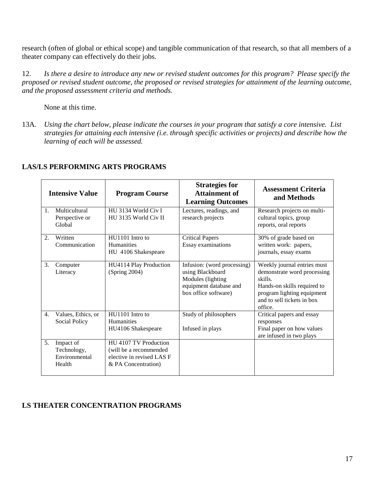research (often of global or ethical scope) and tangible communication of that research, so that all members of a theater company can effectively do their jobs.

12. *Is there a desire to introduce any new or revised student outcomes for this program? Please specify the proposed or revised student outcome, the proposed or revised strategies for attainment of the learning outcome, and the proposed assessment criteria and methods.*

None at this time.

13A*. Using the chart below, please indicate the courses in your program that satisfy a core intensive. List strategies for attaining each intensive (i.e. through specific activities or projects) and describe how the learning of each will be assessed.*

|         | <b>Intensive Value</b>                              | <b>Program Course</b>                                                                                | <b>Strategies for</b><br><b>Attainment of</b><br><b>Learning Outcomes</b>                                              | <b>Assessment Criteria</b><br>and Methods                                                                                                                                   |
|---------|-----------------------------------------------------|------------------------------------------------------------------------------------------------------|------------------------------------------------------------------------------------------------------------------------|-----------------------------------------------------------------------------------------------------------------------------------------------------------------------------|
| $1_{-}$ | Multicultural<br>Perspective or<br>Global           | HU 3134 World Civ I<br>HU 3135 World Civ II                                                          | Lectures, readings, and<br>research projects                                                                           | Research projects on multi-<br>cultural topics, group<br>reports, oral reports                                                                                              |
| 2.      | Written<br>Communication                            | HU1101 Intro to<br><b>Humanities</b><br>HU 4106 Shakespeare                                          | <b>Critical Papers</b><br>Essay examinations                                                                           | 30% of grade based on<br>written work: papers,<br>journals, essay exams                                                                                                     |
| 3.      | Computer<br>Literacy                                | HU4114 Play Production<br>(Spring 2004)                                                              | Infusion: (word processing)<br>using Blackboard<br>Modules (lighting<br>equipment database and<br>box office software) | Weekly journal entries must<br>demonstrate word processing<br>skills.<br>Hands-on skills required to<br>program lighting equipment<br>and to sell tickets in box<br>office. |
| 4.      | Values, Ethics, or<br><b>Social Policy</b>          | HU1101 Intro to<br><b>Humanities</b><br>HU4106 Shakespeare                                           | Study of philosophers<br>Infused in plays                                                                              | Critical papers and essay<br>responses<br>Final paper on how values<br>are infused in two plays                                                                             |
| 5.      | Impact of<br>Technology,<br>Environmental<br>Health | HU 4107 TV Production<br>(will be a recommended)<br>elective in revised LAS F<br>& PA Concentration) |                                                                                                                        |                                                                                                                                                                             |

#### **LAS/LS PERFORMING ARTS PROGRAMS**

## **LS THEATER CONCENTRATION PROGRAMS**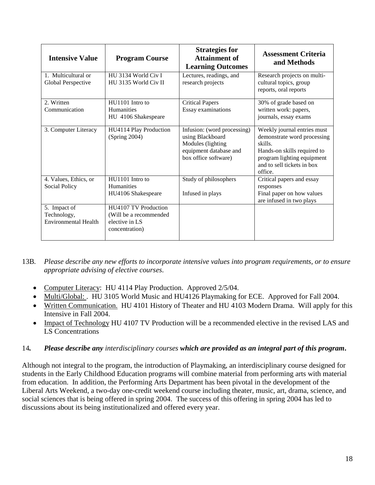| <b>Intensive Value</b>                                     | <b>Program Course</b>                                                              | <b>Strategies for</b><br><b>Attainment of</b><br><b>Learning Outcomes</b>                                              | <b>Assessment Criteria</b><br>and Methods                                                                                                                                   |
|------------------------------------------------------------|------------------------------------------------------------------------------------|------------------------------------------------------------------------------------------------------------------------|-----------------------------------------------------------------------------------------------------------------------------------------------------------------------------|
| 1. Multicultural or<br>Global Perspective                  | HU 3134 World Civ I<br>HU 3135 World Civ II                                        | Lectures, readings, and<br>research projects                                                                           | Research projects on multi-<br>cultural topics, group<br>reports, oral reports                                                                                              |
| 2. Written<br>Communication                                | HU1101 Intro to<br>Humanities<br>HU 4106 Shakespeare                               | <b>Critical Papers</b><br>Essay examinations                                                                           | 30% of grade based on<br>written work: papers,<br>journals, essay exams                                                                                                     |
| 3. Computer Literacy                                       | HU4114 Play Production<br>(Spring 2004)                                            | Infusion: (word processing)<br>using Blackboard<br>Modules (lighting<br>equipment database and<br>box office software) | Weekly journal entries must<br>demonstrate word processing<br>skills.<br>Hands-on skills required to<br>program lighting equipment<br>and to sell tickets in box<br>office. |
| 4. Values, Ethics, or<br><b>Social Policy</b>              | HU1101 Intro to<br>Humanities<br>HU4106 Shakespeare                                | Study of philosophers<br>Infused in plays                                                                              | Critical papers and essay<br>responses<br>Final paper on how values<br>are infused in two plays                                                                             |
| 5. Impact of<br>Technology,<br><b>Environmental Health</b> | HU4107 TV Production<br>(Will be a recommended<br>elective in LS<br>concentration) |                                                                                                                        |                                                                                                                                                                             |

13B*. Please describe any new efforts to incorporate intensive values into program requirements, or to ensure appropriate advising of elective courses*.

- Computer Literacy: HU 4114 Play Production. Approved 2/5/04.
- Multi/Global: . HU 3105 World Music and HU4126 Playmaking for ECE. Approved for Fall 2004.
- Written Communication. HU 4101 History of Theater and HU 4103 Modern Drama. Will apply for this Intensive in Fall 2004.
- Impact of Technology HU 4107 TV Production will be a recommended elective in the revised LAS and LS Concentrations

#### 14*. Please describe any interdisciplinary courses which are provided as an integral part of this program***.**

Although not integral to the program, the introduction of Playmaking, an interdisciplinary course designed for students in the Early Childhood Education programs will combine material from performing arts with material from education. In addition, the Performing Arts Department has been pivotal in the development of the Liberal Arts Weekend, a two-day one-credit weekend course including theater, music, art, drama, science, and social sciences that is being offered in spring 2004. The success of this offering in spring 2004 has led to discussions about its being institutionalized and offered every year.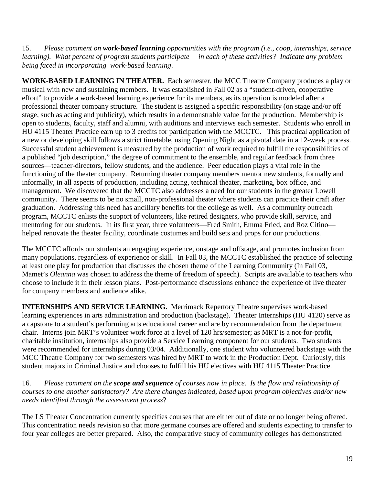15. *Please comment on work-based learning opportunities with the program (i.e., coop, internships, service learning*). What percent of program students participate *being faced in incorporating work-based learning*.

**WORK-BASED LEARNING IN THEATER.** Each semester, the MCC Theatre Company produces a play or musical with new and sustaining members. It was established in Fall 02 as a "student-driven, cooperative effort" to provide a work-based learning experience for its members, as its operation is modeled after a professional theater company structure. The student is assigned a specific responsibility (on stage and/or off stage, such as acting and publicity), which results in a demonstrable value for the production. Membership is open to students, faculty, staff and alumni, with auditions and interviews each semester. Students who enroll in HU 4115 Theater Practice earn up to 3 credits for participation with the MCCTC. This practical application of a new or developing skill follows a strict timetable, using Opening Night as a pivotal date in a 12-week process. Successful student achievement is measured by the production of work required to fulfill the responsibilities of a published "job description," the degree of commitment to the ensemble, and regular feedback from three sources—teacher-directors, fellow students, and the audience. Peer education plays a vital role in the functioning of the theater company. Returning theater company members mentor new students, formally and informally, in all aspects of production, including acting, technical theater, marketing, box office, and management. We discovered that the MCCTC also addresses a need for our students in the greater Lowell community. There seems to be no small, non-professional theater where students can practice their craft after graduation. Addressing this need has ancillary benefits for the college as well. As a community outreach program, MCCTC enlists the support of volunteers, like retired designers, who provide skill, service, and mentoring for our students. In its first year, three volunteers—Fred Smith, Emma Fried, and Roz Citino helped renovate the theater facility, coordinate costumes and build sets and props for our productions.

The MCCTC affords our students an engaging experience, onstage and offstage, and promotes inclusion from many populations, regardless of experience or skill. In Fall 03, the MCCTC established the practice of selecting at least one play for production that discusses the chosen theme of the Learning Community (In Fall 03, Mamet's *Oleanna* was chosen to address the theme of freedom of speech). Scripts are available to teachers who choose to include it in their lesson plans. Post-performance discussions enhance the experience of live theater for company members and audience alike.

**INTERNSHIPS AND SERVICE LEARNING.** Merrimack Repertory Theatre supervises work-based learning experiences in arts administration and production (backstage). Theater Internships (HU 4120) serve as a capstone to a student's performing arts educational career and are by recommendation from the department chair. Interns join MRT's volunteer work force at a level of 120 hrs/semester; as MRT is a not-for-profit, charitable institution, internships also provide a Service Learning component for our students. Two students were recommended for internships during 03/04. Additionally, one student who volunteered backstage with the MCC Theatre Company for two semesters was hired by MRT to work in the Production Dept. Curiously, this student majors in Criminal Justice and chooses to fulfill his HU electives with HU 4115 Theater Practice.

16. *Please comment on the scope and sequence of courses now in place. Is the flow and relationship of courses to one another satisfactory? Are there changes indicated, based upon program objectives and/or new needs identified through the assessment process*?

The LS Theater Concentration currently specifies courses that are either out of date or no longer being offered. This concentration needs revision so that more germane courses are offered and students expecting to transfer to four year colleges are better prepared. Also, the comparative study of community colleges has demonstrated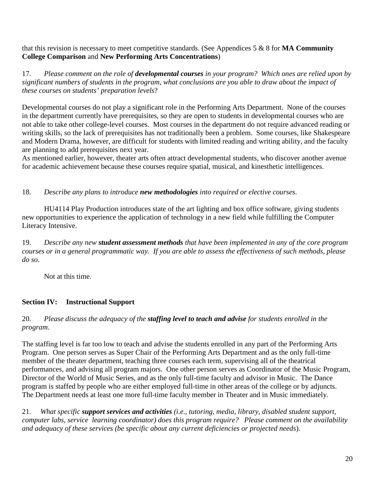that this revision is necessary to meet competitive standards. (See Appendices 5 & 8 for **MA Community College Comparison** and **New Performing Arts Concentrations**)

17. *Please comment on the role of developmental courses in your program? Which ones are relied upon by significant numbers of students in the program, what conclusions are you able to draw about the impact of these courses on students' preparation levels*?

Developmental courses do not play a significant role in the Performing Arts Department. None of the courses in the department currently have prerequisites, so they are open to students in developmental courses who are not able to take other college-level courses. Most courses in the department do not require advanced reading or writing skills, so the lack of prerequisites has not traditionally been a problem. Some courses, like Shakespeare and Modern Drama, however, are difficult for students with limited reading and writing ability, and the faculty are planning to add prerequisites next year.

As mentioned earlier, however, theater arts often attract developmental students, who discover another avenue for academic achievement because these courses require spatial, musical, and kinesthetic intelligences.

18. *Describe any plans to introduce new methodologies into required or elective courses*.

HU4114 Play Production introduces state of the art lighting and box office software, giving students new opportunities to experience the application of technology in a new field while fulfilling the Computer Literacy Intensive.

19. *Describe any new student assessment methods that have been implemented in any of the core program courses or in a general programmatic way. If you are able to assess the effectiveness of such methods, please do so*.

Not at this time.

## **Section IV: Instructional Support**

#### 20. *Please discuss the adequacy of the staffing level to teach and advise for students enrolled in the program*.

The staffing level is far too low to teach and advise the students enrolled in any part of the Performing Arts Program. One person serves as Super Chair of the Performing Arts Department and as the only full-time member of the theater department, teaching three courses each term, supervising all of the theatrical performances, and advising all program majors. One other person serves as Coordinator of the Music Program, Director of the World of Music Series, and as the only full-time faculty and advisor in Music. The Dance program is staffed by people who are either employed full-time in other areas of the college or by adjuncts. The Department needs at least one more full-time faculty member in Theater and in Music immediately.

21. *What specific support services and activities (i.e., tutoring, media, library, disabled student support, computer labs, service learning coordinator) does this program require? Please comment on the availability and adequacy of these services (be specific about any current deficiencies or projected needs*).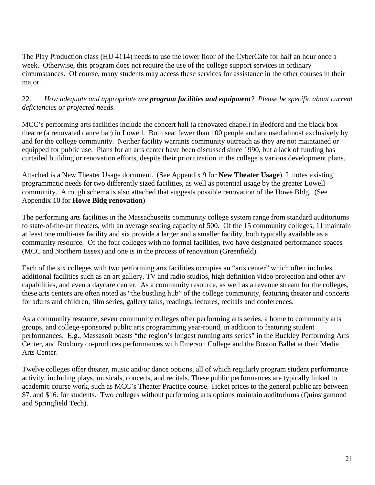The Play Production class (HU 4114) needs to use the lower floor of the CyberCafe for half an hour once a week. Otherwise, this program does not require the use of the college support services in ordinary circumstances. Of course, many students may access these services for assistance in the other courses in their major.

#### 22. *How adequate and appropriate are program facilities and equipment? Please be specific about current deficiencies or projected needs*.

MCC's performing arts facilities include the concert hall (a renovated chapel) in Bedford and the black box theatre (a renovated dance bar) in Lowell. Both seat fewer than 100 people and are used almost exclusively by and for the college community. Neither facility warrants community outreach as they are not maintained or equipped for public use. Plans for an arts center have been discussed since 1990, but a lack of funding has curtailed building or renovation efforts, despite their prioritization in the college's various development plans.

Attached is a New Theater Usage document. (See Appendix 9 for **New Theater Usage**) It notes existing programmatic needs for two differently sized facilities, as well as potential usage by the greater Lowell community. A rough schema is also attached that suggests possible renovation of the Howe Bldg. (See Appendix 10 for **Howe Bldg renovation**)

The performing arts facilities in the Massachusetts community college system range from standard auditoriums to state-of-the-art theaters, with an average seating capacity of 500. Of the 15 community colleges, 11 maintain at least one multi-use facility and six provide a larger and a smaller facility, both typically available as a community resource. Of the four colleges with no formal facilities, two have designated performance spaces (MCC and Northern Essex) and one is in the process of renovation (Greenfield).

Each of the six colleges with two performing arts facilities occupies an "arts center" which often includes additional facilities such as an art gallery, TV and radio studios, high definition video projection and other a/v capabilities, and even a daycare center. As a community resource, as well as a revenue stream for the colleges, these arts centers are often noted as "the bustling hub" of the college community, featuring theater and concerts for adults and children, film series, gallery talks, readings, lectures, recitals and conferences.

As a community resource, seven community colleges offer performing arts series, a home to community arts groups, and college-sponsored public arts programming year-round, in addition to featuring student performances. E.g., Massasoit boasts "the region's longest running arts series" in the Buckley Performing Arts Center, and Roxbury co-produces performances with Emerson College and the Boston Ballet at their Media Arts Center.

Twelve colleges offer theater, music and/or dance options, all of which regularly program student performance activity, including plays, musicals, concerts, and recitals. These public performances are typically linked to academic course work, such as MCC's Theater Practice course. Ticket prices to the general public are between \$7. and \$16. for students. Two colleges without performing arts options maintain auditoriums (Quinsigamond and Springfield Tech).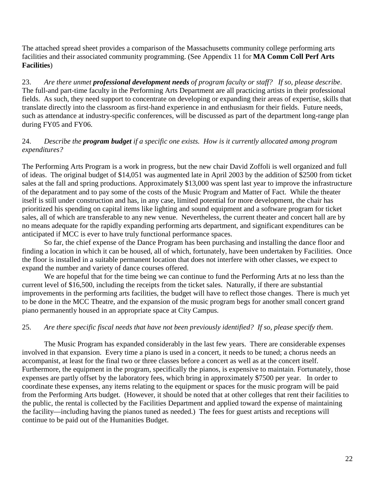The attached spread sheet provides a comparison of the Massachusetts community college performing arts facilities and their associated community programming. (See Appendix 11 for **MA Comm Coll Perf Arts Facilities**)

23. *Are there unmet professional development needs of program faculty or staff? If so, please describe*. The full-and part-time faculty in the Performing Arts Department are all practicing artists in their professional fields. As such, they need support to concentrate on developing or expanding their areas of expertise, skills that translate directly into the classroom as first-hand experience in and enthusiasm for their fields. Future needs, such as attendance at industry-specific conferences, will be discussed as part of the department long-range plan during FY05 and FY06.

#### 24. *Describe the program budget if a specific one exists. How is it currently allocated among program expenditures?*

The Performing Arts Program is a work in progress, but the new chair David Zoffoli is well organized and full of ideas. The original budget of \$14,051 was augmented late in April 2003 by the addition of \$2500 from ticket sales at the fall and spring productions. Approximately \$13,000 was spent last year to improve the infrastructure of the deparatment and to pay some of the costs of the Music Program and Matter of Fact. While the theater itself is still under construction and has, in any case, limited potential for more development, the chair has prioritized his spending on capital items like lighting and sound equipment and a software program for ticket sales, all of which are transferable to any new venue. Nevertheless, the current theater and concert hall are by no means adequate for the rapidly expanding performing arts department, and significant expenditures can be anticipated if MCC is ever to have truly functional performance spaces.

So far, the chief expense of the Dance Program has been purchasing and installing the dance floor and finding a location in which it can be housed, all of which, fortunately, have been undertaken by Facilities. Once the floor is installed in a suitable permanent location that does not interfere with other classes, we expect to expand the number and variety of dance courses offered.

We are hopeful that for the time being we can continue to fund the Performing Arts at no less than the current level of \$16,500, including the receipts from the ticket sales. Naturally, if there are substantial improvements in the performing arts facilities, the budget will have to reflect those changes. There is much yet to be done in the MCC Theatre, and the expansion of the music program begs for another small concert grand piano permanently housed in an appropriate space at City Campus.

## 25. *Are there specific fiscal needs that have not been previously identified? If so, please specify them*.

The Music Program has expanded considerably in the last few years. There are considerable expenses involved in that expansion. Every time a piano is used in a concert, it needs to be tuned; a chorus needs an accompanist, at least for the final two or three classes before a concert as well as at the concert itself. Furthermore, the equipment in the program, specifically the pianos, is expensive to maintain. Fortunately, those expenses are partly offset by the laboratory fees, which bring in approximately \$7500 per year. In order to coordinate these expenses, any items relating to the equipment or spaces for the music program will be paid from the Performing Arts budget. (However, it should be noted that at other colleges that rent their facilities to the public, the rental is collected by the Facilities Department and applied toward the expense of maintaining the facility—including having the pianos tuned as needed.) The fees for guest artists and receptions will continue to be paid out of the Humanities Budget.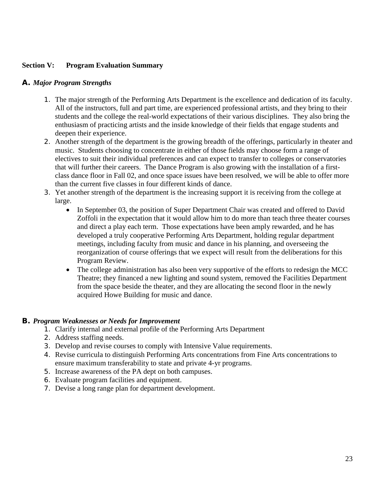#### **Section V: Program Evaluation Summary**

#### *A. Major Program Strengths*

- 1. The major strength of the Performing Arts Department is the excellence and dedication of its faculty. All of the instructors, full and part time, are experienced professional artists, and they bring to their students and the college the real-world expectations of their various disciplines. They also bring the enthusiasm of practicing artists and the inside knowledge of their fields that engage students and deepen their experience.
- 2. Another strength of the department is the growing breadth of the offerings, particularly in theater and music. Students choosing to concentrate in either of those fields may choose form a range of electives to suit their individual preferences and can expect to transfer to colleges or conservatories that will further their careers. The Dance Program is also growing with the installation of a firstclass dance floor in Fall 02, and once space issues have been resolved, we will be able to offer more than the current five classes in four different kinds of dance.
- 3. Yet another strength of the department is the increasing support it is receiving from the college at large.
	- In September 03, the position of Super Department Chair was created and offered to David Zoffoli in the expectation that it would allow him to do more than teach three theater courses and direct a play each term. Those expectations have been amply rewarded, and he has developed a truly cooperative Performing Arts Department, holding regular department meetings, including faculty from music and dance in his planning, and overseeing the reorganization of course offerings that we expect will result from the deliberations for this Program Review.
	- The college administration has also been very supportive of the efforts to redesign the MCC Theatre; they financed a new lighting and sound system, removed the Facilities Department from the space beside the theater, and they are allocating the second floor in the newly acquired Howe Building for music and dance.

#### *B. Program Weaknesses or Needs for Improvement*

- 1. Clarify internal and external profile of the Performing Arts Department
- 2. Address staffing needs.
- 3. Develop and revise courses to comply with Intensive Value requirements.
- 4. Revise curricula to distinguish Performing Arts concentrations from Fine Arts concentrations to ensure maximum transferability to state and private 4-yr programs.
- 5. Increase awareness of the PA dept on both campuses.
- 6. Evaluate program facilities and equipment.
- 7. Devise a long range plan for department development.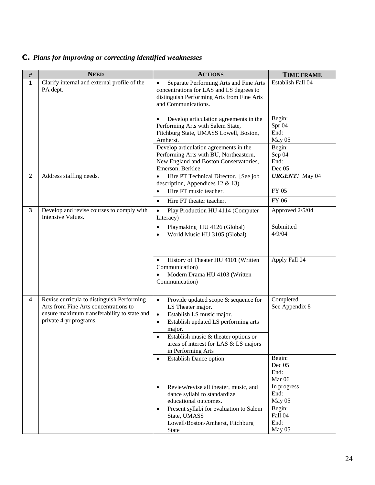# *C. Plans for improving or correcting identified weaknesses*

| $\#$                    | <b>NEED</b>                                                                                                                                                  | <b>ACTIONS</b>                                                                                                                                                                                                                                                                                      | <b>TIME FRAME</b>                                      |
|-------------------------|--------------------------------------------------------------------------------------------------------------------------------------------------------------|-----------------------------------------------------------------------------------------------------------------------------------------------------------------------------------------------------------------------------------------------------------------------------------------------------|--------------------------------------------------------|
| $\mathbf{1}$            | Clarify internal and external profile of the<br>PA dept.                                                                                                     | Separate Performing Arts and Fine Arts<br>$\bullet$<br>concentrations for LAS and LS degrees to<br>distinguish Performing Arts from Fine Arts<br>and Communications.                                                                                                                                | Establish Fall 04                                      |
|                         |                                                                                                                                                              | Develop articulation agreements in the<br>Performing Arts with Salem State,<br>Fitchburg State, UMASS Lowell, Boston,<br>Amherst.<br>Develop articulation agreements in the<br>Performing Arts with BU, Northeastern,                                                                               | Begin:<br>Spr 04<br>End:<br>May 05<br>Begin:<br>Sep 04 |
|                         |                                                                                                                                                              | New England and Boston Conservatories,<br>Emerson, Berklee.                                                                                                                                                                                                                                         | End:<br>Dec 05                                         |
| $\overline{2}$          | Address staffing needs.                                                                                                                                      | Hire PT Technical Director. [See job<br>$\bullet$<br>description, Appendices 12 & 13)<br>Hire FT music teacher.                                                                                                                                                                                     | <b>URGENT!</b> May 04<br>FY 05                         |
|                         |                                                                                                                                                              | $\bullet$<br>Hire FT theater teacher.<br>$\bullet$                                                                                                                                                                                                                                                  | FY 06                                                  |
| 3                       | Develop and revise courses to comply with<br>Intensive Values.                                                                                               | $\bullet$<br>Play Production HU 4114 (Computer<br>Literacy)                                                                                                                                                                                                                                         | Approved 2/5/04                                        |
|                         |                                                                                                                                                              | Playmaking HU 4126 (Global)<br>$\bullet$<br>World Music HU 3105 (Global)<br>$\bullet$                                                                                                                                                                                                               | Submitted<br>4/9/04                                    |
|                         |                                                                                                                                                              | History of Theater HU 4101 (Written<br>$\bullet$<br>Communication)<br>Modern Drama HU 4103 (Written<br>٠<br>Communication)                                                                                                                                                                          | Apply Fall 04                                          |
| $\overline{\mathbf{4}}$ | Revise curricula to distinguish Performing<br>Arts from Fine Arts concentrations to<br>ensure maximum transferability to state and<br>private 4-yr programs. | Provide updated scope & sequence for<br>$\bullet$<br>LS Theater major.<br>Establish LS music major.<br>$\bullet$<br>Establish updated LS performing arts<br>$\bullet$<br>major.<br>Establish music & theater options or<br>$\bullet$<br>areas of interest for LAS & LS majors<br>in Performing Arts | Completed<br>See Appendix 8                            |
|                         |                                                                                                                                                              | <b>Establish Dance option</b><br>$\bullet$                                                                                                                                                                                                                                                          | Begin:<br>Dec 05<br>End:<br>Mar 06                     |
|                         |                                                                                                                                                              | Review/revise all theater, music, and<br>$\bullet$<br>dance syllabi to standardize<br>educational outcomes.                                                                                                                                                                                         | In progress<br>End:<br>May 05                          |
|                         |                                                                                                                                                              | Present syllabi for evaluation to Salem<br>$\bullet$<br>State, UMASS<br>Lowell/Boston/Amherst, Fitchburg<br>State                                                                                                                                                                                   | Begin:<br>Fall 04<br>End:<br>May 05                    |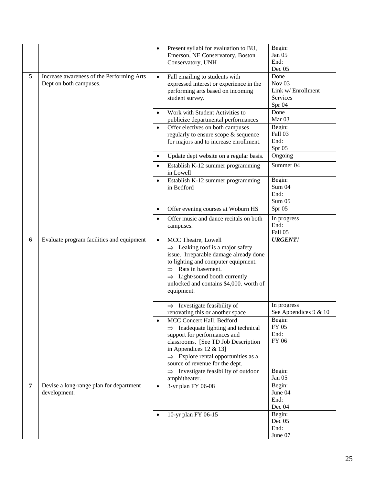|   |                                                                     | $\bullet$ | Present syllabi for evaluation to BU,<br>Emerson, NE Conservatory, Boston<br>Conservatory, UNH                                                                                                                                                                                  | Begin:<br>Jan 05<br>End:<br>Dec 05                                  |
|---|---------------------------------------------------------------------|-----------|---------------------------------------------------------------------------------------------------------------------------------------------------------------------------------------------------------------------------------------------------------------------------------|---------------------------------------------------------------------|
| 5 | Increase awareness of the Performing Arts<br>Dept on both campuses. | $\bullet$ | Fall emailing to students with<br>expressed interest or experience in the<br>performing arts based on incoming<br>student survey.                                                                                                                                               | Done<br>Nov $03$<br>Link w/ Enrollment<br><b>Services</b><br>Spr 04 |
|   |                                                                     | $\bullet$ | Work with Student Activities to<br>publicize departmental performances                                                                                                                                                                                                          | Done<br>Mar <sub>03</sub>                                           |
|   |                                                                     | $\bullet$ | Offer electives on both campuses<br>regularly to ensure scope & sequence<br>for majors and to increase enrollment.                                                                                                                                                              | Begin:<br>Fall 03<br>End:<br>Spr 05                                 |
|   |                                                                     | $\bullet$ | Update dept website on a regular basis.                                                                                                                                                                                                                                         | Ongoing                                                             |
|   |                                                                     | $\bullet$ | Establish K-12 summer programming<br>in Lowell                                                                                                                                                                                                                                  | Summer 04                                                           |
|   |                                                                     | $\bullet$ | Establish K-12 summer programming<br>in Bedford                                                                                                                                                                                                                                 | Begin:<br>Sum 04<br>End:<br>Sum 05                                  |
|   |                                                                     | $\bullet$ | Offer evening courses at Woburn HS                                                                                                                                                                                                                                              | Spr 05                                                              |
|   |                                                                     | $\bullet$ | Offer music and dance recitals on both<br>campuses.                                                                                                                                                                                                                             | In progress<br>End:<br>Fall 05                                      |
| 6 | Evaluate program facilities and equipment                           | $\bullet$ | MCC Theatre, Lowell<br>$\Rightarrow$ Leaking roof is a major safety<br>issue. Irreparable damage already done<br>to lighting and computer equipment.<br>$\Rightarrow$ Rats in basement.<br>Light/sound booth currently<br>unlocked and contains \$4,000. worth of<br>equipment. | <b>URGENT!</b>                                                      |
|   |                                                                     |           | $\Rightarrow$ Investigate feasibility of<br>renovating this or another space                                                                                                                                                                                                    | In progress<br>See Appendices 9 & 10                                |
|   |                                                                     |           | MCC Concert Hall, Bedford<br>$\Rightarrow$ Inadequate lighting and technical<br>support for performances and<br>classrooms. [See TD Job Description<br>in Appendices 12 & 13]<br>$\Rightarrow$ Explore rental opportunities as a<br>source of revenue for the dept.             | Begin:<br>FY 05<br>End:<br>FY 06                                    |
|   |                                                                     |           | $\Rightarrow$ Investigate feasibility of outdoor<br>amphitheater.                                                                                                                                                                                                               | Begin:<br>Jan 05                                                    |
| 7 | Devise a long-range plan for department<br>development.             | $\bullet$ | 3-yr plan FY 06-08                                                                                                                                                                                                                                                              | Begin:<br>June 04<br>End:<br>Dec 04                                 |
|   |                                                                     |           | 10-yr plan FY 06-15                                                                                                                                                                                                                                                             | Begin:<br>Dec 05<br>End:<br>June 07                                 |